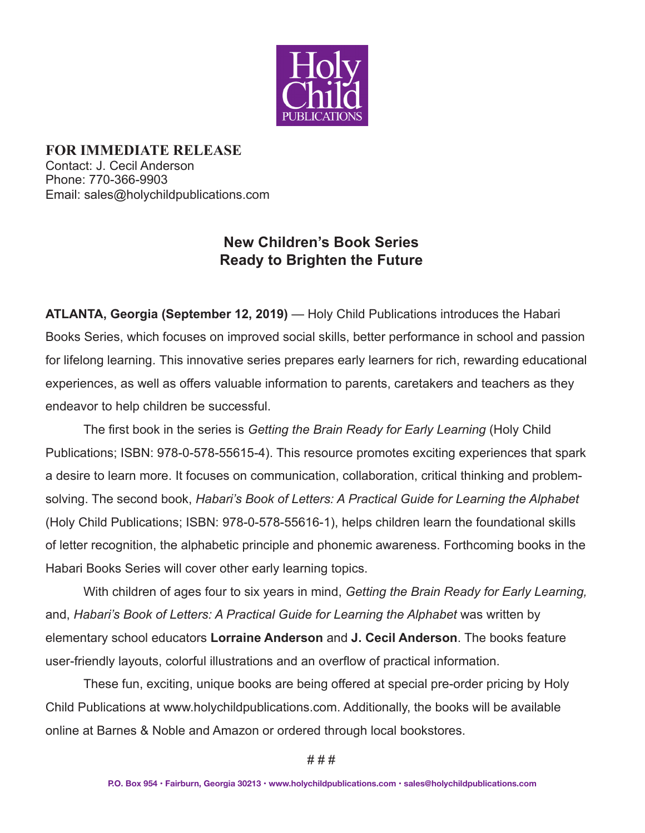

**FOR IMMEDIATE RELEASE** Contact: J. Cecil Anderson Phone: 770-366-9903 Email: sales@holychildpublications.com

## **New Children's Book Series Ready to Brighten the Future**

**ATLANTA, Georgia (September 12, 2019)** *—* Holy Child Publications introduces the Habari Books Series, which focuses on improved social skills, better performance in school and passion for lifelong learning. This innovative series prepares early learners for rich, rewarding educational experiences, as well as offers valuable information to parents, caretakers and teachers as they endeavor to help children be successful.

 The first book in the series is *Getting the Brain Ready for Early Learning* (Holy Child Publications; ISBN: 978-0-578-55615-4). This resource promotes exciting experiences that spark a desire to learn more. It focuses on communication, collaboration, critical thinking and problemsolving. The second book, *Habari's Book of Letters: A Practical Guide for Learning the Alphabet* (Holy Child Publications; ISBN: 978-0-578-55616-1), helps children learn the foundational skills of letter recognition, the alphabetic principle and phonemic awareness. Forthcoming books in the Habari Books Series will cover other early learning topics.

With children of ages four to six years in mind, *Getting the Brain Ready for Early Learning,* and, *Habari's Book of Letters: A Practical Guide for Learning the Alphabet* was written by elementary school educators **Lorraine Anderson** and **J. Cecil Anderson**. The books feature user-friendly layouts, colorful illustrations and an overflow of practical information.

These fun, exciting, unique books are being offered at special pre-order pricing by Holy Child Publications at www.holychildpublications.com. Additionally, the books will be available online at Barnes & Noble and Amazon or ordered through local bookstores.